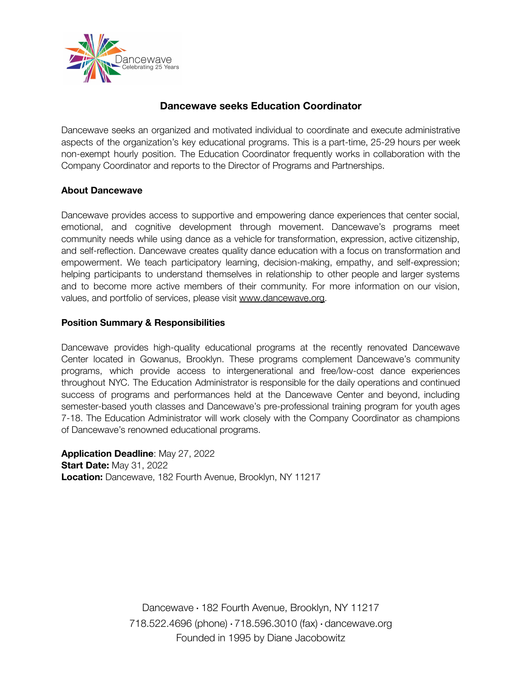

# **Dancewave seeks Education Coordinator**

Dancewave seeks an organized and motivated individual to coordinate and execute administrative aspects of the organization's key educational programs. This is a part-time, 25-29 hours per week non-exempt hourly position. The Education Coordinator frequently works in collaboration with the Company Coordinator and reports to the Director of Programs and Partnerships.

#### **About Dancewave**

Dancewave provides access to supportive and empowering dance experiences that center social, emotional, and cognitive development through movement. Dancewave's programs meet community needs while using dance as a vehicle for transformation, expression, active citizenship, and self-reflection. Dancewave creates quality dance education with a focus on transformation and empowerment. We teach participatory learning, decision-making, empathy, and self-expression; helping participants to understand themselves in relationship to other people and larger systems and to become more active members of their community. For more information on our vision, values, and portfolio of services, please visit [www.dancewave.org](http://www.dancewave.org).

#### **Position Summary & Responsibilities**

Dancewave provides high-quality educational programs at the recently renovated Dancewave Center located in Gowanus, Brooklyn. These programs complement Dancewave's community programs, which provide access to intergenerational and free/low-cost dance experiences throughout NYC. The Education Administrator is responsible for the daily operations and continued success of programs and performances held at the Dancewave Center and beyond, including semester-based youth classes and Dancewave's pre-professional training program for youth ages 7-18. The Education Administrator will work closely with the Company Coordinator as champions of Dancewave's renowned educational programs.

**Application Deadline**: May 27, 2022 **Start Date:** May 31, 2022 **Location:** Dancewave, 182 Fourth Avenue, Brooklyn, NY 11217

> Dancewave ∙ 182 Fourth Avenue, Brooklyn, NY 11217 718.522.4696 (phone) ∙ 718.596.3010 (fax) ∙ dancewave.org Founded in 1995 by Diane Jacobowitz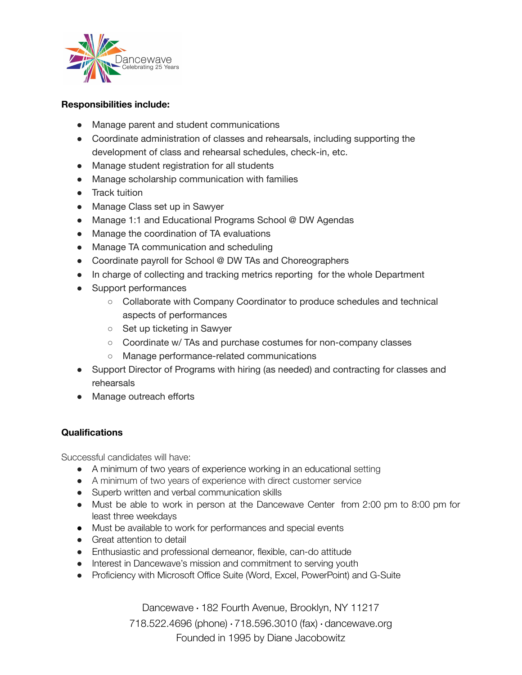

#### **Responsibilities include:**

- Manage parent and student communications
- Coordinate administration of classes and rehearsals, including supporting the development of class and rehearsal schedules, check-in, etc.
- Manage student registration for all students
- Manage scholarship communication with families
- Track tuition
- Manage Class set up in Sawyer
- Manage 1:1 and Educational Programs School @ DW Agendas
- Manage the coordination of TA evaluations
- Manage TA communication and scheduling
- Coordinate payroll for School @ DW TAs and Choreographers
- In charge of collecting and tracking metrics reporting for the whole Department
- Support performances
	- Collaborate with Company Coordinator to produce schedules and technical aspects of performances
	- Set up ticketing in Sawyer
	- Coordinate w/ TAs and purchase costumes for non-company classes
	- Manage performance-related communications
- Support Director of Programs with hiring (as needed) and contracting for classes and rehearsals
- Manage outreach efforts

#### **Qualifications**

Successful candidates will have:

- A minimum of two years of experience working in an educational setting
- A minimum of two years of experience with direct customer service
- Superb written and verbal communication skills
- Must be able to work in person at the Dancewave Center from 2:00 pm to 8:00 pm for least three weekdays
- Must be available to work for performances and special events
- Great attention to detail
- Enthusiastic and professional demeanor, flexible, can-do attitude
- Interest in Dancewave's mission and commitment to serving youth
- Proficiency with Microsoft Office Suite (Word, Excel, PowerPoint) and G-Suite

Dancewave ∙ 182 Fourth Avenue, Brooklyn, NY 11217

718.522.4696 (phone) ∙ 718.596.3010 (fax) ∙ dancewave.org Founded in 1995 by Diane Jacobowitz